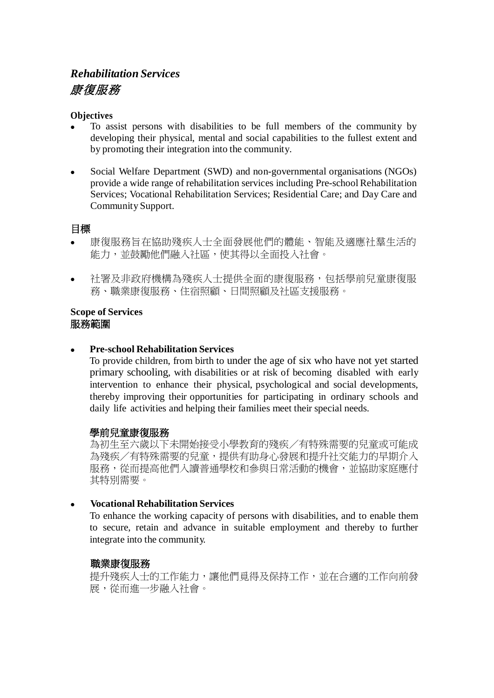# *Rehabilitation Services* 康復服務

#### **Objectives**

- To assist persons with disabilities to be full members of the community by developing their physical, mental and social capabilities to the fullest extent and by promoting their integration into the community.
- Social Welfare Department (SWD) and non-governmental organisations (NGOs) provide a wide range of rehabilitation services including Pre-schoolRehabilitation Services; Vocational Rehabilitation Services; Residential Care; and Day Care and Community Support.

### 目標

- 康復服務旨在協助殘疾人士全面發展他們的體能、智能及適應社羣生活的 能力,並鼓勵他們融入社區,使其得以全面投入社會。
- 社署及非政府機構為殘疾人士提供全面的康復服務,包括學前兒童康復服 務、職業康復服務、住宿照顧、日間照顧及社區支援服務。

#### **Scope of Services** 服務範圍

#### **Pre-school Rehabilitation Services**

To provide children, from birth to under the age of six who have not yet started primary schooling, with disabilities or at risk of becoming disabled with early intervention to enhance their physical, psychological and social developments, thereby improving their opportunities for participating in ordinary schools and daily life activities and helping their families meet their special needs.

### 學前兒童康復服務

為初生至六歲以下未開始接受小學教育的殘疾/有特殊需要的兒童或可能成 為殘疾/有特殊需要的兒童,提供有助身心發展和提升社交能力的早期介入 服務,從而提高他們入讀普通學校和參與日常活動的機會,並協助家庭應付 其特別需要。

### **Vocational Rehabilitation Services**

To enhance the working capacity of persons with disabilities, and to enable them to secure, retain and advance in suitable employment and thereby to further integrate into the community.

### 職業康復服務

提升殘疾人士的工作能力,讓他們覓得及保持工作,並在合適的工作向前發 展,從而進一步融入社會。